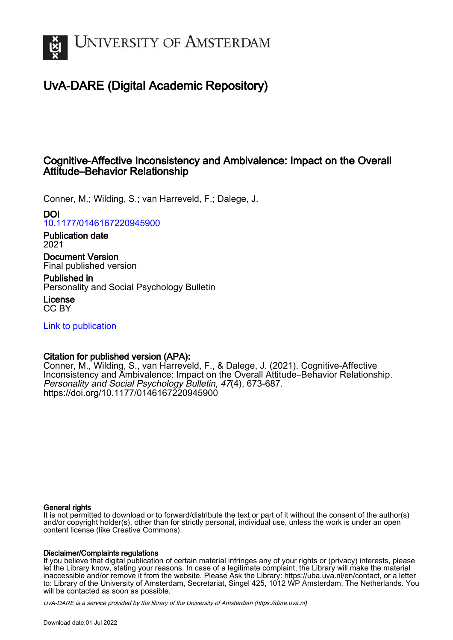

# UvA-DARE (Digital Academic Repository)

# Cognitive-Affective Inconsistency and Ambivalence: Impact on the Overall Attitude–Behavior Relationship

Conner, M.; Wilding, S.; van Harreveld, F.; Dalege, J.

DOI

[10.1177/0146167220945900](https://doi.org/10.1177/0146167220945900)

Publication date 2021

Document Version Final published version

Published in Personality and Social Psychology Bulletin

License CC BY

[Link to publication](https://dare.uva.nl/personal/pure/en/publications/cognitiveaffective-inconsistency-and-ambivalence-impact-on-the-overall-attitudebehavior-relationship(8e1f9bff-3b7b-4aa6-931b-ddc389b23ce3).html)

# Citation for published version (APA):

Conner, M., Wilding, S., van Harreveld, F., & Dalege, J. (2021). Cognitive-Affective Inconsistency and Ambivalence: Impact on the Overall Attitude–Behavior Relationship. Personality and Social Psychology Bulletin, 47(4), 673-687. <https://doi.org/10.1177/0146167220945900>

## General rights

It is not permitted to download or to forward/distribute the text or part of it without the consent of the author(s) and/or copyright holder(s), other than for strictly personal, individual use, unless the work is under an open content license (like Creative Commons).

## Disclaimer/Complaints regulations

If you believe that digital publication of certain material infringes any of your rights or (privacy) interests, please let the Library know, stating your reasons. In case of a legitimate complaint, the Library will make the material inaccessible and/or remove it from the website. Please Ask the Library: https://uba.uva.nl/en/contact, or a letter to: Library of the University of Amsterdam, Secretariat, Singel 425, 1012 WP Amsterdam, The Netherlands. You will be contacted as soon as possible.

UvA-DARE is a service provided by the library of the University of Amsterdam (http*s*://dare.uva.nl)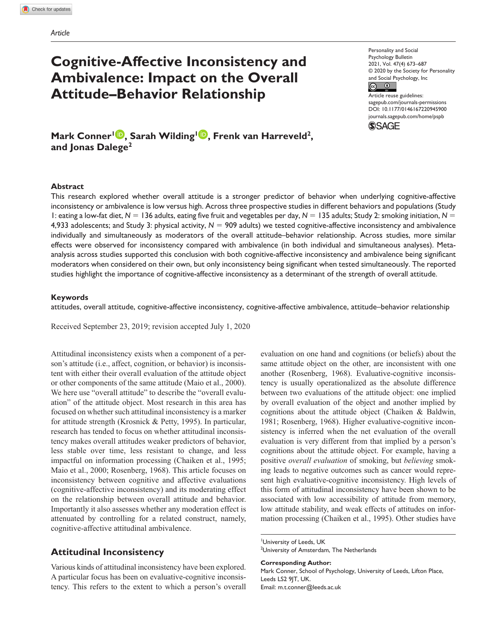# **Cognitive-Affective Inconsistency and Ambivalence: Impact on the Overall Attitude–Behavior Relationship**

Personality and Social Psychology Bulletin 2021, Vol. 47(4) 673–687 © 2020 by the Society for Personality and Social Psychology, Inc



https://doi.org/10.1177/0146167220945900 DOI: 10.1177/0146167220945900 Article reuse guidelines: [sagepub.com/journals-permissions](https://us.sagepub.com/en-us/journals-permissions) [journals.sagepub.com/home/pspb](http://journals.sagepub.com/home/pspb)



Mark Conner<sup>1</sup><sup>(D</sup>, Sarah Wilding<sup>1</sup><sup>D</sup>, Frenk van Harreveld<sup>2</sup>, **and Jonas Dalege2**

#### **Abstract**

This research explored whether overall attitude is a stronger predictor of behavior when underlying cognitive-affective inconsistency or ambivalence is low versus high. Across three prospective studies in different behaviors and populations (Study 1: eating a low-fat diet, *N* = 136 adults, eating five fruit and vegetables per day, *N* = 135 adults; Study 2: smoking initiation, *N* = 4,933 adolescents; and Study 3: physical activity, *N* = 909 adults) we tested cognitive-affective inconsistency and ambivalence individually and simultaneously as moderators of the overall attitude–behavior relationship. Across studies, more similar effects were observed for inconsistency compared with ambivalence (in both individual and simultaneous analyses). Metaanalysis across studies supported this conclusion with both cognitive-affective inconsistency and ambivalence being significant moderators when considered on their own, but only inconsistency being significant when tested simultaneously. The reported studies highlight the importance of cognitive-affective inconsistency as a determinant of the strength of overall attitude.

#### **Keywords**

attitudes, overall attitude, cognitive-affective inconsistency, cognitive-affective ambivalence, attitude–behavior relationship

Received September 23, 2019; revision accepted July 1, 2020

Attitudinal inconsistency exists when a component of a person's attitude (i.e., affect, cognition, or behavior) is inconsistent with either their overall evaluation of the attitude object or other components of the same attitude (Maio et al., 2000). We here use "overall attitude" to describe the "overall evaluation" of the attitude object. Most research in this area has focused on whether such attitudinal inconsistency is a marker for attitude strength (Krosnick & Petty, 1995). In particular, research has tended to focus on whether attitudinal inconsistency makes overall attitudes weaker predictors of behavior, less stable over time, less resistant to change, and less impactful on information processing (Chaiken et al., 1995; Maio et al., 2000; Rosenberg, 1968). This article focuses on inconsistency between cognitive and affective evaluations (cognitive-affective inconsistency) and its moderating effect on the relationship between overall attitude and behavior. Importantly it also assesses whether any moderation effect is attenuated by controlling for a related construct, namely, cognitive-affective attitudinal ambivalence.

# **Attitudinal Inconsistency**

Various kinds of attitudinal inconsistency have been explored. A particular focus has been on evaluative-cognitive inconsistency. This refers to the extent to which a person's overall evaluation on one hand and cognitions (or beliefs) about the same attitude object on the other, are inconsistent with one another (Rosenberg, 1968). Evaluative-cognitive inconsistency is usually operationalized as the absolute difference between two evaluations of the attitude object: one implied by overall evaluation of the object and another implied by cognitions about the attitude object (Chaiken & Baldwin, 1981; Rosenberg, 1968). Higher evaluative-cognitive inconsistency is inferred when the net evaluation of the overall evaluation is very different from that implied by a person's cognitions about the attitude object. For example, having a positive *overall evaluation* of smoking, but *believing* smoking leads to negative outcomes such as cancer would represent high evaluative-cognitive inconsistency. High levels of this form of attitudinal inconsistency have been shown to be associated with low accessibility of attitude from memory, low attitude stability, and weak effects of attitudes on information processing (Chaiken et al., 1995). Other studies have

**Corresponding Author:**

<sup>1</sup> University of Leeds, UK

<sup>&</sup>lt;sup>2</sup>University of Amsterdam, The Netherlands

Mark Conner, School of Psychology, University of Leeds, Lifton Place, Leeds LS2 9JT, UK. Email: [m.t.conner@leeds.ac.uk](mailto:m.t.conner@leeds.ac.uk)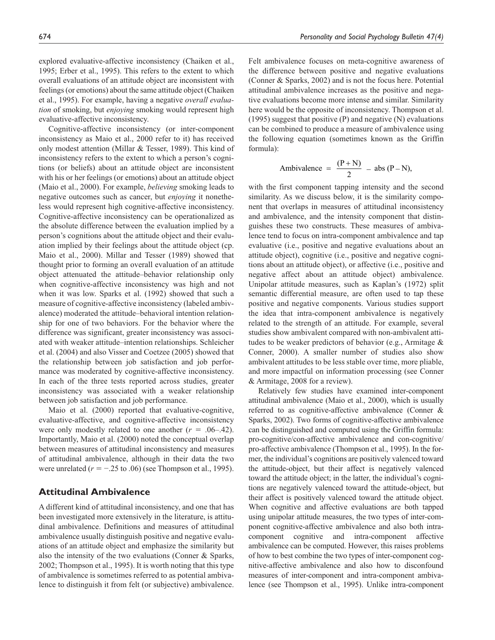explored evaluative-affective inconsistency (Chaiken et al., 1995; Erber et al., 1995). This refers to the extent to which overall evaluations of an attitude object are inconsistent with feelings (or emotions) about the same attitude object (Chaiken et al., 1995). For example, having a negative *overall evaluation* of smoking, but *enjoying* smoking would represent high evaluative-affective inconsistency.

Cognitive-affective inconsistency (or inter-component inconsistency as Maio et al., 2000 refer to it) has received only modest attention (Millar & Tesser, 1989). This kind of inconsistency refers to the extent to which a person's cognitions (or beliefs) about an attitude object are inconsistent with his or her feelings (or emotions) about an attitude object (Maio et al., 2000). For example, *believing* smoking leads to negative outcomes such as cancer, but *enjoying* it nonetheless would represent high cognitive-affective inconsistency. Cognitive-affective inconsistency can be operationalized as the absolute difference between the evaluation implied by a person's cognitions about the attitude object and their evaluation implied by their feelings about the attitude object (cp. Maio et al., 2000). Millar and Tesser (1989) showed that thought prior to forming an overall evaluation of an attitude object attenuated the attitude–behavior relationship only when cognitive-affective inconsistency was high and not when it was low. Sparks et al. (1992) showed that such a measure of cognitive-affective inconsistency (labeled ambivalence) moderated the attitude–behavioral intention relationship for one of two behaviors. For the behavior where the difference was significant, greater inconsistency was associated with weaker attitude–intention relationships. Schleicher et al. (2004) and also Visser and Coetzee (2005) showed that the relationship between job satisfaction and job performance was moderated by cognitive-affective inconsistency. In each of the three tests reported across studies, greater inconsistency was associated with a weaker relationship between job satisfaction and job performance.

Maio et al. (2000) reported that evaluative-cognitive, evaluative-affective, and cognitive-affective inconsistency were only modestly related to one another  $(r = .06-.42)$ . Importantly, Maio et al. (2000) noted the conceptual overlap between measures of attitudinal inconsistency and measures of attitudinal ambivalence, although in their data the two were unrelated (*r* = −.25 to .06) (see Thompson et al., 1995).

#### **Attitudinal Ambivalence**

A different kind of attitudinal inconsistency, and one that has been investigated more extensively in the literature, is attitudinal ambivalence. Definitions and measures of attitudinal ambivalence usually distinguish positive and negative evaluations of an attitude object and emphasize the similarity but also the intensity of the two evaluations (Conner & Sparks, 2002; Thompson et al., 1995). It is worth noting that this type of ambivalence is sometimes referred to as potential ambivalence to distinguish it from felt (or subjective) ambivalence.

Felt ambivalence focuses on meta-cognitive awareness of the difference between positive and negative evaluations (Conner & Sparks, 2002) and is not the focus here. Potential attitudinal ambivalence increases as the positive and negative evaluations become more intense and similar. Similarity here would be the opposite of inconsistency. Thompson et al. (1995) suggest that positive (P) and negative (N) evaluations can be combined to produce a measure of ambivalence using the following equation (sometimes known as the Griffin formula):

$$
Ambivalence = \frac{(P+N)}{2} - abs (P-N),
$$

with the first component tapping intensity and the second similarity. As we discuss below, it is the similarity component that overlaps in measures of attitudinal inconsistency and ambivalence, and the intensity component that distinguishes these two constructs. These measures of ambivalence tend to focus on intra-component ambivalence and tap evaluative (i.e., positive and negative evaluations about an attitude object), cognitive (i.e., positive and negative cognitions about an attitude object), or affective (i.e., positive and negative affect about an attitude object) ambivalence. Unipolar attitude measures, such as Kaplan's (1972) split semantic differential measure, are often used to tap these positive and negative components. Various studies support the idea that intra-component ambivalence is negatively related to the strength of an attitude. For example, several studies show ambivalent compared with non-ambivalent attitudes to be weaker predictors of behavior (e.g., Armitage & Conner, 2000). A smaller number of studies also show ambivalent attitudes to be less stable over time, more pliable, and more impactful on information processing (see Conner & Armitage, 2008 for a review).

Relatively few studies have examined inter-component attitudinal ambivalence (Maio et al., 2000), which is usually referred to as cognitive-affective ambivalence (Conner & Sparks, 2002). Two forms of cognitive-affective ambivalence can be distinguished and computed using the Griffin formula: pro-cognitive/con-affective ambivalence and con-cognitive/ pro-affective ambivalence (Thompson et al., 1995). In the former, the individual's cognitions are positively valenced toward the attitude-object, but their affect is negatively valenced toward the attitude object; in the latter, the individual's cognitions are negatively valenced toward the attitude-object, but their affect is positively valenced toward the attitude object. When cognitive and affective evaluations are both tapped using unipolar attitude measures, the two types of inter-component cognitive-affective ambivalence and also both intracomponent cognitive and intra-component affective ambivalence can be computed. However, this raises problems of how to best combine the two types of inter-component cognitive-affective ambivalence and also how to disconfound measures of inter-component and intra-component ambivalence (see Thompson et al., 1995). Unlike intra-component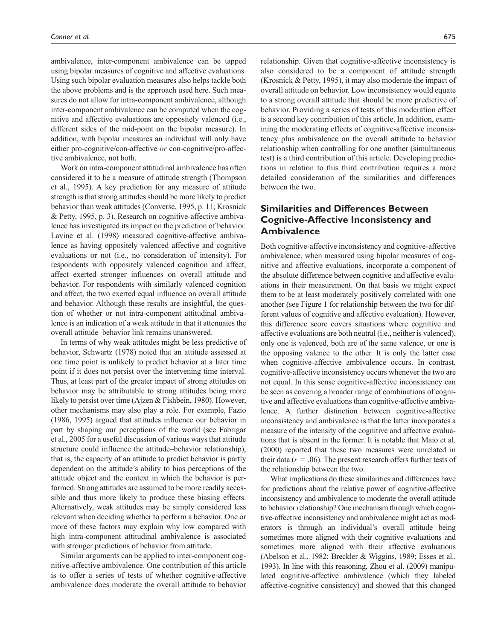ambivalence, inter-component ambivalence can be tapped using bipolar measures of cognitive and affective evaluations. Using such bipolar evaluation measures also helps tackle both the above problems and is the approach used here. Such measures do not allow for intra-component ambivalence, although inter-component ambivalence can be computed when the cognitive and affective evaluations are oppositely valenced (i.e., different sides of the mid-point on the bipolar measure). In addition, with bipolar measures an individual will only have either pro-cognitive/con-affective *or* con-cognitive/pro-affective ambivalence, not both.

Work on intra-component attitudinal ambivalence has often considered it to be a measure of attitude strength (Thompson et al., 1995). A key prediction for any measure of attitude strength is that strong attitudes should be more likely to predict behavior than weak attitudes (Converse, 1995, p. 11; Krosnick & Petty, 1995, p. 3). Research on cognitive-affective ambivalence has investigated its impact on the prediction of behavior. Lavine et al. (1998) measured cognitive-affective ambivalence as having oppositely valenced affective and cognitive evaluations or not (i.e., no consideration of intensity). For respondents with oppositely valenced cognition and affect, affect exerted stronger influences on overall attitude and behavior. For respondents with similarly valenced cognition and affect, the two exerted equal influence on overall attitude and behavior. Although these results are insightful, the question of whether or not intra-component attitudinal ambivalence is an indication of a weak attitude in that it attenuates the overall attitude–behavior link remains unanswered.

In terms of why weak attitudes might be less predictive of behavior, Schwartz (1978) noted that an attitude assessed at one time point is unlikely to predict behavior at a later time point if it does not persist over the intervening time interval. Thus, at least part of the greater impact of strong attitudes on behavior may be attributable to strong attitudes being more likely to persist over time (Ajzen & Fishbein, 1980). However, other mechanisms may also play a role. For example, Fazio (1986, 1995) argued that attitudes influence our behavior in part by shaping our perceptions of the world (see Fabrigar et al., 2005 for a useful discussion of various ways that attitude structure could influence the attitude–behavior relationship), that is, the capacity of an attitude to predict behavior is partly dependent on the attitude's ability to bias perceptions of the attitude object and the context in which the behavior is performed. Strong attitudes are assumed to be more readily accessible and thus more likely to produce these biasing effects. Alternatively, weak attitudes may be simply considered less relevant when deciding whether to perform a behavior. One or more of these factors may explain why low compared with high intra-component attitudinal ambivalence is associated with stronger predictions of behavior from attitude.

Similar arguments can be applied to inter-component cognitive-affective ambivalence. One contribution of this article is to offer a series of tests of whether cognitive-affective ambivalence does moderate the overall attitude to behavior

relationship. Given that cognitive-affective inconsistency is also considered to be a component of attitude strength (Krosnick & Petty, 1995), it may also moderate the impact of overall attitude on behavior. Low inconsistency would equate to a strong overall attitude that should be more predictive of behavior. Providing a series of tests of this moderation effect is a second key contribution of this article. In addition, examining the moderating effects of cognitive-affective inconsistency plus ambivalence on the overall attitude to behavior relationship when controlling for one another (simultaneous test) is a third contribution of this article. Developing predictions in relation to this third contribution requires a more detailed consideration of the similarities and differences between the two.

# **Similarities and Differences Between Cognitive-Affective Inconsistency and Ambivalence**

Both cognitive-affective inconsistency and cognitive-affective ambivalence, when measured using bipolar measures of cognitive and affective evaluations, incorporate a component of the absolute difference between cognitive and affective evaluations in their measurement. On that basis we might expect them to be at least moderately positively correlated with one another (see Figure 1 for relationship between the two for different values of cognitive and affective evaluation). However, this difference score covers situations where cognitive and affective evaluations are both neutral (i.e., neither is valenced), only one is valenced, both are of the same valence, or one is the opposing valence to the other. It is only the latter case when cognitive-affective ambivalence occurs. In contrast, cognitive-affective inconsistency occurs whenever the two are not equal. In this sense cognitive-affective inconsistency can be seen as covering a broader range of combinations of cognitive and affective evaluations than cognitive-affective ambivalence. A further distinction between cognitive-affective inconsistency and ambivalence is that the latter incorporates a measure of the intensity of the cognitive and affective evaluations that is absent in the former. It is notable that Maio et al. (2000) reported that these two measures were unrelated in their data  $(r = .06)$ . The present research offers further tests of the relationship between the two.

What implications do these similarities and differences have for predictions about the relative power of cognitive-affective inconsistency and ambivalence to moderate the overall attitude to behavior relationship? One mechanism through which cognitive-affective inconsistency and ambivalence might act as moderators is through an individual's overall attitude being sometimes more aligned with their cognitive evaluations and sometimes more aligned with their affective evaluations (Abelson et al., 1982; Breckler & Wiggins, 1989; Esses et al., 1993). In line with this reasoning, Zhou et al. (2009) manipulated cognitive-affective ambivalence (which they labeled affective-cognitive consistency) and showed that this changed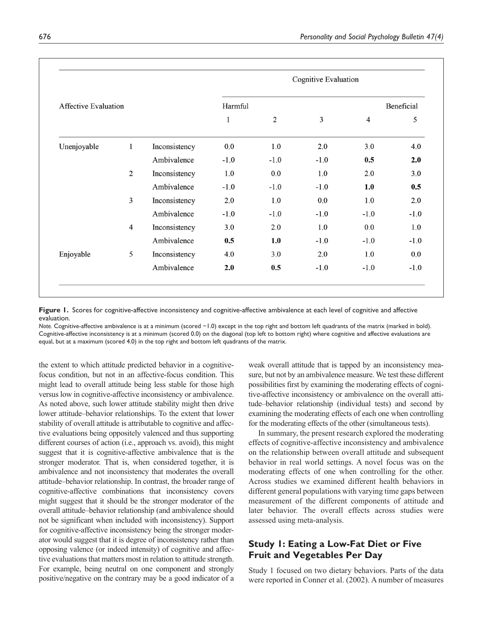|                             |                |               |              |                | Cognitive Evaluation |                |        |
|-----------------------------|----------------|---------------|--------------|----------------|----------------------|----------------|--------|
| <b>Affective Evaluation</b> |                | Harmful       |              |                |                      | Beneficial     |        |
|                             |                |               | $\mathbf{1}$ | $\overline{c}$ | 3                    | $\overline{4}$ | 5      |
| Unenjoyable                 | $\mathbf{1}$   | Inconsistency | 0.0          | 1.0            | 2.0                  | 3.0            | 4.0    |
|                             |                | Ambivalence   | $-1.0$       | $-1.0$         | $-1.0$               | 0.5            | 2.0    |
|                             | $\sqrt{2}$     | Inconsistency | 1.0          | 0.0            | 1.0                  | 2.0            | 3.0    |
|                             |                | Ambivalence   | $-1.0$       | $-1.0$         | $-1.0$               | 1.0            | 0.5    |
|                             | 3              | Inconsistency | 2.0          | 1.0            | 0.0                  | 1.0            | 2.0    |
|                             |                | Ambivalence   | $-1.0$       | $-1.0$         | $-1.0$               | $-1.0$         | $-1.0$ |
|                             | $\overline{4}$ | Inconsistency | 3.0          | 2.0            | 1.0                  | 0.0            | 1.0    |
|                             |                | Ambivalence   | 0.5          | 1.0            | $-1.0$               | $-1.0$         | $-1.0$ |
| Enjoyable                   | 5              | Inconsistency | 4.0          | 3.0            | 2.0                  | 1.0            | 0.0    |
|                             |                | Ambivalence   | 2.0          | 0.5            | $-1.0$               | $-1.0$         | $-1.0$ |

Figure 1. Scores for cognitive-affective inconsistency and cognitive-affective ambivalence at each level of cognitive and affective evaluation.

*Note.* Cognitive-affective ambivalence is at a minimum (scored −1.0) except in the top right and bottom left quadrants of the matrix (marked in bold). Cognitive-affective inconsistency is at a minimum (scored 0.0) on the diagonal (top left to bottom right) where cognitive and affective evaluations are equal, but at a maximum (scored 4.0) in the top right and bottom left quadrants of the matrix.

the extent to which attitude predicted behavior in a cognitivefocus condition, but not in an affective-focus condition. This might lead to overall attitude being less stable for those high versus low in cognitive-affective inconsistency or ambivalence. As noted above, such lower attitude stability might then drive lower attitude–behavior relationships. To the extent that lower stability of overall attitude is attributable to cognitive and affective evaluations being oppositely valenced and thus supporting different courses of action (i.e., approach vs. avoid), this might suggest that it is cognitive-affective ambivalence that is the stronger moderator. That is, when considered together, it is ambivalence and not inconsistency that moderates the overall attitude–behavior relationship. In contrast, the broader range of cognitive-affective combinations that inconsistency covers might suggest that it should be the stronger moderator of the overall attitude–behavior relationship (and ambivalence should not be significant when included with inconsistency). Support for cognitive-affective inconsistency being the stronger moderator would suggest that it is degree of inconsistency rather than opposing valence (or indeed intensity) of cognitive and affective evaluations that matters most in relation to attitude strength. For example, being neutral on one component and strongly positive/negative on the contrary may be a good indicator of a

weak overall attitude that is tapped by an inconsistency measure, but not by an ambivalence measure. We test these different possibilities first by examining the moderating effects of cognitive-affective inconsistency or ambivalence on the overall attitude–behavior relationship (individual tests) and second by examining the moderating effects of each one when controlling for the moderating effects of the other (simultaneous tests).

In summary, the present research explored the moderating effects of cognitive-affective inconsistency and ambivalence on the relationship between overall attitude and subsequent behavior in real world settings. A novel focus was on the moderating effects of one when controlling for the other. Across studies we examined different health behaviors in different general populations with varying time gaps between measurement of the different components of attitude and later behavior. The overall effects across studies were assessed using meta-analysis.

# **Study 1: Eating a Low-Fat Diet or Five Fruit and Vegetables Per Day**

Study 1 focused on two dietary behaviors. Parts of the data were reported in Conner et al. (2002). A number of measures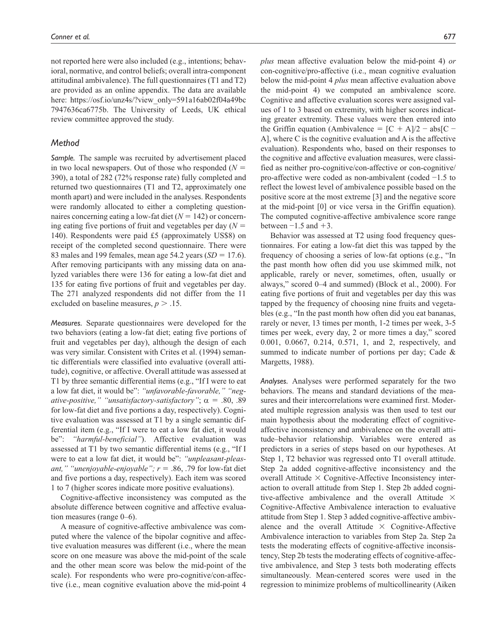not reported here were also included (e.g., intentions; behavioral, normative, and control beliefs; overall intra-component attitudinal ambivalence). The full questionnaires (T1 and T2) are provided as an online appendix. The data are available here: [https://osf.io/unz4s/?view\\_only=591a16ab02f04a49bc](https://osf.io/unz4s/?view_only=591a16ab02f04a49bc7947636ca6775b) [7947636ca6775b.](https://osf.io/unz4s/?view_only=591a16ab02f04a49bc7947636ca6775b) The University of Leeds, UK ethical review committee approved the study.

#### *Method*

*Sample.* The sample was recruited by advertisement placed in two local newspapers. Out of those who responded  $(N =$ 390), a total of 282 (72% response rate) fully completed and returned two questionnaires (T1 and T2, approximately one month apart) and were included in the analyses. Respondents were randomly allocated to either a completing questionnaires concerning eating a low-fat diet (*N* = 142) or concerning eating five portions of fruit and vegetables per day  $(N =$ 140). Respondents were paid £5 (approximately US\$8) on receipt of the completed second questionnaire. There were 83 males and 199 females, mean age 54.2 years (*SD* = 17.6). After removing participants with any missing data on analyzed variables there were 136 for eating a low-fat diet and 135 for eating five portions of fruit and vegetables per day. The 271 analyzed respondents did not differ from the 11 excluded on baseline measures,  $p > .15$ .

*Measures.* Separate questionnaires were developed for the two behaviors (eating a low-fat diet; eating five portions of fruit and vegetables per day), although the design of each was very similar. Consistent with Crites et al. (1994) semantic differentials were classified into evaluative (overall attitude), cognitive, or affective. Overall attitude was assessed at T1 by three semantic differential items (e.g., "If I were to eat a low fat diet, it would be": *"unfavorable-favorable," "negative-positive," "unsatisfactory-satisfactory"*; α = .80, .89 for low-fat diet and five portions a day, respectively). Cognitive evaluation was assessed at T1 by a single semantic differential item (e.g., "If I were to eat a low fat diet, it would be": *"harmful-beneficial"*). Affective evaluation was assessed at T1 by two semantic differential items (e.g., "If I were to eat a low fat diet, it would be": *"unpleasant-pleasant," "unenjoyable-enjoyable"; r* = .86, .79 for low-fat diet and five portions a day, respectively). Each item was scored 1 to 7 (higher scores indicate more positive evaluations).

Cognitive-affective inconsistency was computed as the absolute difference between cognitive and affective evaluation measures (range 0–6).

A measure of cognitive-affective ambivalence was computed where the valence of the bipolar cognitive and affective evaluation measures was different (i.e., where the mean score on one measure was above the mid-point of the scale and the other mean score was below the mid-point of the scale). For respondents who were pro-cognitive/con-affective (i.e., mean cognitive evaluation above the mid-point 4

*plus* mean affective evaluation below the mid-point 4) *or* con-cognitive/pro-affective (i.e., mean cognitive evaluation below the mid-point 4 *plus* mean affective evaluation above the mid-point 4) we computed an ambivalence score. Cognitive and affective evaluation scores were assigned values of 1 to 3 based on extremity, with higher scores indicating greater extremity. These values were then entered into the Griffin equation (Ambivalence =  $[C + A]/2 - abs[C -$ A], where C is the cognitive evaluation and A is the affective evaluation). Respondents who, based on their responses to the cognitive and affective evaluation measures, were classified as neither pro-cognitive/con-affective or con-cognitive/ pro-affective were coded as non-ambivalent (coded −1.5 to reflect the lowest level of ambivalence possible based on the positive score at the most extreme [3] and the negative score at the mid-point [0] or vice versa in the Griffin equation). The computed cognitive-affective ambivalence score range between  $-1.5$  and  $+3$ .

Behavior was assessed at T2 using food frequency questionnaires. For eating a low-fat diet this was tapped by the frequency of choosing a series of low-fat options (e.g., "In the past month how often did you use skimmed milk, not applicable, rarely or never, sometimes, often, usually or always," scored 0–4 and summed) (Block et al., 2000). For eating five portions of fruit and vegetables per day this was tapped by the frequency of choosing nine fruits and vegetables (e.g., "In the past month how often did you eat bananas, rarely or never, 13 times per month, 1-2 times per week, 3-5 times per week, every day, 2 or more times a day," scored 0.001, 0.0667, 0.214, 0.571, 1, and 2, respectively, and summed to indicate number of portions per day; Cade & Margetts, 1988).

*Analyses.* Analyses were performed separately for the two behaviors. The means and standard deviations of the measures and their intercorrelations were examined first. Moderated multiple regression analysis was then used to test our main hypothesis about the moderating effect of cognitiveaffective inconsistency and ambivalence on the overall attitude–behavior relationship. Variables were entered as predictors in a series of steps based on our hypotheses. At Step 1, T2 behavior was regressed onto T1 overall attitude. Step 2a added cognitive-affective inconsistency and the overall Attitude  $\times$  Cognitive-Affective Inconsistency interaction to overall attitude from Step 1. Step 2b added cognitive-affective ambivalence and the overall Attitude  $\times$ Cognitive-Affective Ambivalence interaction to evaluative attitude from Step 1. Step 3 added cognitive-affective ambivalence and the overall Attitude  $\times$  Cognitive-Affective Ambivalence interaction to variables from Step 2a. Step 2a tests the moderating effects of cognitive-affective inconsistency, Step 2b tests the moderating effects of cognitive-affective ambivalence, and Step 3 tests both moderating effects simultaneously. Mean-centered scores were used in the regression to minimize problems of multicollinearity (Aiken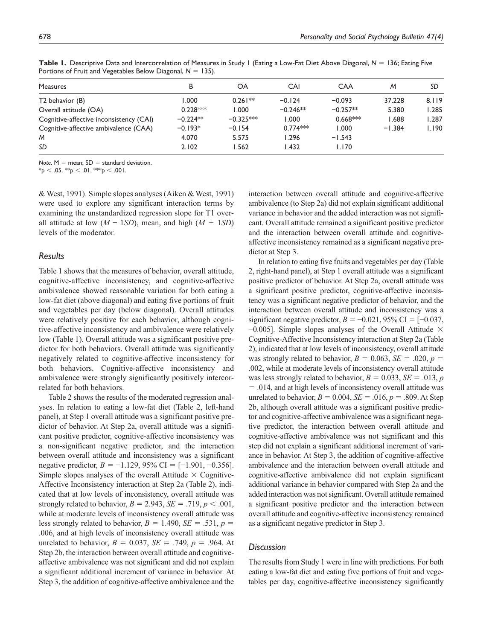| <b>Measures</b>                         | В          | OA          | CAI        | <b>CAA</b> | M        | SD    |  |
|-----------------------------------------|------------|-------------|------------|------------|----------|-------|--|
| T <sub>2</sub> behavior (B)             | 000.1      | $0.261**$   | $-0.124$   | $-0.093$   | 37.228   | 8.119 |  |
| Overall attitude (OA)                   | $0.228***$ | 1.000       | $-0.246**$ | $-0.257**$ | 5.380    | 1.285 |  |
| Cognitive-affective inconsistency (CAI) | $-0.224**$ | $-0.325***$ | 1.000      | $0.668***$ | 1.688    | 1.287 |  |
| Cognitive-affective ambivalence (CAA)   | $-0.193*$  | $-0.154$    | $0.774***$ | 1.000      | $-1.384$ | 1.190 |  |
| M                                       | 4.070      | 5.575       | 1.296      | $-1.543$   |          |       |  |
| <b>SD</b>                               | 2.102      | 1.562       | 1.432      | 1.170      |          |       |  |
|                                         |            |             |            |            |          |       |  |

**Table 1.** Descriptive Data and Intercorrelation of Measures in Study 1 (Eating a Low-Fat Diet Above Diagonal, *N* = 136; Eating Five Portions of Fruit and Vegetables Below Diagonal, *N* = 135).

*Note*.  $M =$  mean:  $SD =$  standard deviation.

 $*_{p}$  < .05.  $*_{p}$  < .01.  $*_{p}$  < .001.

& West, 1991). Simple slopes analyses (Aiken & West, 1991) were used to explore any significant interaction terms by examining the unstandardized regression slope for T1 overall attitude at low  $(M - 1SD)$ , mean, and high  $(M + 1SD)$ levels of the moderator.

#### *Results*

Table 1 shows that the measures of behavior, overall attitude, cognitive-affective inconsistency, and cognitive-affective ambivalence showed reasonable variation for both eating a low-fat diet (above diagonal) and eating five portions of fruit and vegetables per day (below diagonal). Overall attitudes were relatively positive for each behavior, although cognitive-affective inconsistency and ambivalence were relatively low (Table 1). Overall attitude was a significant positive predictor for both behaviors. Overall attitude was significantly negatively related to cognitive-affective inconsistency for both behaviors. Cognitive-affective inconsistency and ambivalence were strongly significantly positively intercorrelated for both behaviors.

Table 2 shows the results of the moderated regression analyses. In relation to eating a low-fat diet (Table 2, left-hand panel), at Step 1 overall attitude was a significant positive predictor of behavior. At Step 2a, overall attitude was a significant positive predictor, cognitive-affective inconsistency was a non-significant negative predictor, and the interaction between overall attitude and inconsistency was a significant negative predictor, *B* = −1.129, 95% CI = [−1.901, −0.356]. Simple slopes analyses of the overall Attitude  $\times$  Cognitive-Affective Inconsistency interaction at Step 2a (Table 2), indicated that at low levels of inconsistency, overall attitude was strongly related to behavior,  $B = 2.943$ ,  $SE = .719$ ,  $p < .001$ , while at moderate levels of inconsistency overall attitude was less strongly related to behavior,  $B = 1.490$ ,  $SE = .531$ ,  $p =$ .006, and at high levels of inconsistency overall attitude was unrelated to behavior,  $B = 0.037$ ,  $SE = .749$ ,  $p = .964$ . At Step 2b, the interaction between overall attitude and cognitiveaffective ambivalence was not significant and did not explain a significant additional increment of variance in behavior. At Step 3, the addition of cognitive-affective ambivalence and the

interaction between overall attitude and cognitive-affective ambivalence (to Step 2a) did not explain significant additional variance in behavior and the added interaction was not significant. Overall attitude remained a significant positive predictor and the interaction between overall attitude and cognitiveaffective inconsistency remained as a significant negative predictor at Step 3.

In relation to eating five fruits and vegetables per day (Table 2, right-hand panel), at Step 1 overall attitude was a significant positive predictor of behavior. At Step 2a, overall attitude was a significant positive predictor, cognitive-affective inconsistency was a significant negative predictor of behavior, and the interaction between overall attitude and inconsistency was a significant negative predictor,  $B = -0.021$ , 95% CI = [-0.037,  $-0.005$ ]. Simple slopes analyses of the Overall Attitude  $\times$ Cognitive-Affective Inconsistency interaction at Step 2a (Table 2), indicated that at low levels of inconsistency, overall attitude was strongly related to behavior,  $B = 0.063$ ,  $SE = .020$ ,  $p =$ .002, while at moderate levels of inconsistency overall attitude was less strongly related to behavior,  $B = 0.033$ ,  $SE = .013$ , *p* = .014, and at high levels of inconsistency overall attitude was unrelated to behavior,  $B = 0.004$ ,  $SE = .016$ ,  $p = .809$ . At Step 2b, although overall attitude was a significant positive predictor and cognitive-affective ambivalence was a significant negative predictor, the interaction between overall attitude and cognitive-affective ambivalence was not significant and this step did not explain a significant additional increment of variance in behavior. At Step 3, the addition of cognitive-affective ambivalence and the interaction between overall attitude and cognitive-affective ambivalence did not explain significant additional variance in behavior compared with Step 2a and the added interaction was not significant. Overall attitude remained a significant positive predictor and the interaction between overall attitude and cognitive-affective inconsistency remained as a significant negative predictor in Step 3.

#### *Discussion*

The results from Study 1 were in line with predictions. For both eating a low-fat diet and eating five portions of fruit and vegetables per day, cognitive-affective inconsistency significantly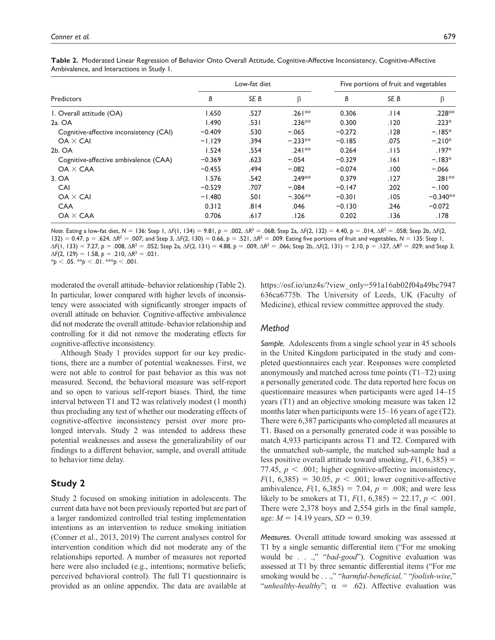|                                         |          | Low-fat diet    |           | Five portions of fruit and vegetables |      |            |
|-----------------------------------------|----------|-----------------|-----------|---------------------------------------|------|------------|
| <b>Predictors</b>                       | B        | SE <sub>B</sub> | β         | B                                     | SE B | β          |
| I. Overall attitude (OA)                | 1.650    | .527            | $.261**$  | 0.306                                 | .114 | .228 **    |
| 2a. OA                                  | 1.490    | .531            | $.236***$ | 0.300                                 | .120 | $.223*$    |
| Cognitive-affective inconsistency (CAI) | $-0.409$ | .530            | $-.065$   | $-0.272$                              | .128 | $-.185*$   |
| $OA \times CA$                          | $-1.129$ | .394            | $-.233**$ | $-0.185$                              | .075 | $-.210*$   |
| $2b.$ $OA$                              | 1.524    | .554            | $.241**$  | 0.264                                 | .115 | $.197*$    |
| Cognitive-affective ambivalence (CAA)   | $-0.369$ | .623            | $-.054$   | $-0.329$                              | .161 | $-.183*$   |
| $OA \times CAA$                         | $-0.455$ | .494            | $-.082$   | $-0.074$                              | .100 | $-.066$    |
| 3. OA                                   | 1.576    | .542            | $.249**$  | 0.379                                 | .127 | $.281**$   |
| CAI                                     | $-0.529$ | .707            | $-.084$   | $-0.147$                              | .202 | $-.100$    |
| $OA \times CA$                          | $-1.480$ | .501            | $-.306**$ | $-0.301$                              | .105 | $-0.340**$ |
| <b>CAA</b>                              | 0.312    | .814            | .046      | $-0.130$                              | .246 | $-0.072$   |
| $OA \times CAA$                         | 0.706    | .617            | .126      | 0.202                                 | .136 | .178       |

**Table 2.** Moderated Linear Regression of Behavior Onto Overall Attitude, Cognitive-Affective Inconsistency, Cognitive-Affective Ambivalence, and Interactions in Study 1.

*Note.* Eating a low-fat diet, *N* = 136: Step 1, Δ*F*(1, 134) = 9.81, *p* = .002, Δ*R*<sup>2</sup> = .068; Step 2a, Δ*F*(2, 132) = 4.40, *p* = .014, Δ*R*<sup>2</sup> = .058; Step 2b, Δ*F*(2, 132) = 0.47, *p* = .624, Δ*R*<sup>2</sup> = .007; and Step 3, Δ*F*(2, 130) = 0.66, *p* = .521, Δ*R*<sup>2</sup> = .009. Eating five portions of fruit and vegetables, *N* = 135: Step 1, Δ*F*(1, 133) = 7.27, *p* = .008, Δ*R*<sup>2</sup> = .052; Step 2a, Δ*F*(2, 131) = 4.88, *p* = .009, Δ*R*<sup>2</sup> = .066; Step 2b, Δ*F*(2, 131) = 2.10, *p* = .127, Δ*R*<sup>2</sup> = .029; and Step 3,  $\Delta F(2, 129) = 1.58, p = .210, \Delta R^2 = .021.$ \**p* < .05. \*\**p* < .01. \*\*\**p* < .001.

moderated the overall attitude–behavior relationship (Table 2). In particular, lower compared with higher levels of inconsistency were associated with significantly stronger impacts of overall attitude on behavior. Cognitive-affective ambivalence did not moderate the overall attitude–behavior relationship and controlling for it did not remove the moderating effects for cognitive-affective inconsistency.

Although Study 1 provides support for our key predictions, there are a number of potential weaknesses. First, we were not able to control for past behavior as this was not measured. Second, the behavioral measure was self-report and so open to various self-report biases. Third, the time interval between T1 and T2 was relatively modest (1 month) thus precluding any test of whether our moderating effects of cognitive-affective inconsistency persist over more prolonged intervals. Study 2 was intended to address these potential weaknesses and assess the generalizability of our findings to a different behavior, sample, and overall attitude to behavior time delay.

## **Study 2**

Study 2 focused on smoking initiation in adolescents. The current data have not been previously reported but are part of a larger randomized controlled trial testing implementation intentions as an intervention to reduce smoking initiation (Conner et al., 2013, 2019) The current analyses control for intervention condition which did not moderate any of the relationships reported. A number of measures not reported here were also included (e.g., intentions; normative beliefs; perceived behavioral control). The full T1 questionnaire is provided as an online appendix. The data are available at

[https://osf.io/unz4s/?view\\_only=591a16ab02f04a49bc7947](https://osf.io/unz4s/?view_only=591a16ab02f04a49bc7947636ca6775b) [636ca6775b](https://osf.io/unz4s/?view_only=591a16ab02f04a49bc7947636ca6775b). The University of Leeds, UK (Faculty of Medicine), ethical review committee approved the study.

#### *Method*

*Sample.* Adolescents from a single school year in 45 schools in the United Kingdom participated in the study and completed questionnaires each year. Responses were completed anonymously and matched across time points (T1–T2) using a personally generated code. The data reported here focus on questionnaire measures when participants were aged 14–15 years (T1) and an objective smoking measure was taken 12 months later when participants were 15–16 years of age (T2). There were 6,387 participants who completed all measures at T1. Based on a personally generated code it was possible to match 4,933 participants across T1 and T2. Compared with the unmatched sub-sample, the matched sub-sample had a less positive overall attitude toward smoking,  $F(1, 6,385)$  = 77.45,  $p < .001$ ; higher cognitive-affective inconsistency,  $F(1, 6,385) = 30.05, p < .001$ ; lower cognitive-affective ambivalence,  $F(1, 6,385) = 7.04$ ,  $p = .008$ ; and were less likely to be smokers at T1,  $F(1, 6,385) = 22.17, p < .001$ . There were 2,378 boys and 2,554 girls in the final sample, age:  $M = 14.19$  years,  $SD = 0.39$ .

*Measures.* Overall attitude toward smoking was assessed at T1 by a single semantic differential item ("For me smoking would be . . .," "*bad-good*"). Cognitive evaluation was assessed at T1 by three semantic differential items ("For me smoking would be . . .," "*harmful-beneficial,"* "*foolish-wise*," "*unhealthy-healthy*";  $\alpha$  = .62). Affective evaluation was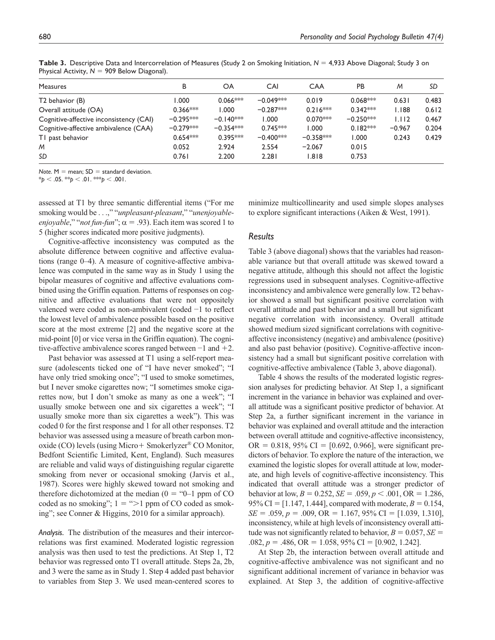| Measures                                | B           | OA          | CAI         | <b>CAA</b>  | PB          | M        | SD    |  |
|-----------------------------------------|-------------|-------------|-------------|-------------|-------------|----------|-------|--|
| T2 behavior (B)                         | 000.        | $0.066***$  | $-0.049***$ | 0.019       | $0.068***$  | 0.631    | 0.483 |  |
| Overall attitude (OA)                   | $0.366***$  | 1.000       | $-0.287***$ | $0.216***$  | $0.342***$  | 1.188    | 0.612 |  |
| Cognitive-affective inconsistency (CAI) | $-0.295***$ | $-0.140***$ | 000.1       | $0.070***$  | $-0.250***$ | 1.112    | 0.467 |  |
| Cognitive-affective ambivalence (CAA)   | $-0.279***$ | $-0.354***$ | $0.745***$  | 1.000       | $0.182***$  | $-0.967$ | 0.204 |  |
| TI past behavior                        | $0.654***$  | $0.395***$  | $-0.400***$ | $-0.358***$ | 1.000       | 0.243    | 0.429 |  |
| M                                       | 0.052       | 2.924       | 2.554       | $-2.067$    | 0.015       |          |       |  |
| SD.                                     | 0.761       | 2.200       | 2.281       | 1.818       | 0.753       |          |       |  |

**Table 3.** Descriptive Data and Intercorrelation of Measures (Study 2 on Smoking Initiation,  $N = 4.933$  Above Diagonal; Study 3 on Physical Activity, *N* = 909 Below Diagonal).

*Note*. M = mean; SD = standard deviation.

 $*_{p}$  < .05.  $*_{p}$  < .01.  $*_{p}$  < .001.

assessed at T1 by three semantic differential items ("For me smoking would be . . .," "*unpleasant-pleasant*," "*unenjoyableenjoyable*," "*not fun-fun*";  $\alpha$  = .93). Each item was scored 1 to 5 (higher scores indicated more positive judgments).

Cognitive-affective inconsistency was computed as the absolute difference between cognitive and affective evaluations (range 0–4). A measure of cognitive-affective ambivalence was computed in the same way as in Study 1 using the bipolar measures of cognitive and affective evaluations combined using the Griffin equation. Patterns of responses on cognitive and affective evaluations that were not oppositely valenced were coded as non-ambivalent (coded −1 to reflect the lowest level of ambivalence possible based on the positive score at the most extreme [2] and the negative score at the mid-point [0] or vice versa in the Griffin equation). The cognitive-affective ambivalence scores ranged between −1 and +2.

Past behavior was assessed at T1 using a self-report measure (adolescents ticked one of "I have never smoked"; "I have only tried smoking once"; "I used to smoke sometimes, but I never smoke cigarettes now; "I sometimes smoke cigarettes now, but I don't smoke as many as one a week"; "I usually smoke between one and six cigarettes a week"; "I usually smoke more than six cigarettes a week"). This was coded 0 for the first response and 1 for all other responses. T2 behavior was assessed using a measure of breath carbon monoxide (CO) levels (using Micro+ Smokerlyzer® CO Monitor, Bedfont Scientific Limited, Kent, England). Such measures are reliable and valid ways of distinguishing regular cigarette smoking from never or occasional smoking (Jarvis et al., 1987). Scores were highly skewed toward not smoking and therefore dichotomized at the median  $(0 = "0-1)$  ppm of CO coded as no smoking";  $1 =$ ">1 ppm of CO coded as smoking"; see Conner & Higgins, 2010 for a similar approach).

*Analysis.* The distribution of the measures and their intercorrelations was first examined. Moderated logistic regression analysis was then used to test the predictions. At Step 1, T2 behavior was regressed onto T1 overall attitude. Steps 2a, 2b, and 3 were the same as in Study 1. Step 4 added past behavior to variables from Step 3. We used mean-centered scores to minimize multicollinearity and used simple slopes analyses to explore significant interactions (Aiken & West, 1991).

#### *Results*

Table 3 (above diagonal) shows that the variables had reasonable variance but that overall attitude was skewed toward a negative attitude, although this should not affect the logistic regressions used in subsequent analyses. Cognitive-affective inconsistency and ambivalence were generally low. T2 behavior showed a small but significant positive correlation with overall attitude and past behavior and a small but significant negative correlation with inconsistency. Overall attitude showed medium sized significant correlations with cognitiveaffective inconsistency (negative) and ambivalence (positive) and also past behavior (positive). Cognitive-affective inconsistency had a small but significant positive correlation with cognitive-affective ambivalence (Table 3, above diagonal).

Table 4 shows the results of the moderated logistic regression analyses for predicting behavior. At Step 1, a significant increment in the variance in behavior was explained and overall attitude was a significant positive predictor of behavior. At Step 2a, a further significant increment in the variance in behavior was explained and overall attitude and the interaction between overall attitude and cognitive-affective inconsistency,  $OR = 0.818, 95\% \text{ CI} = [0.692, 0.966]$ , were significant predictors of behavior. To explore the nature of the interaction, we examined the logistic slopes for overall attitude at low, moderate, and high levels of cognitive-affective inconsistency. This indicated that overall attitude was a stronger predictor of behavior at low,  $B = 0.252$ ,  $SE = .059$ ,  $p < .001$ ,  $OR = 1.286$ , 95% CI =  $[1.147, 1.444]$ , compared with moderate,  $B = 0.154$ ,  $SE = .059, p = .009, OR = 1.167, 95\% \text{ CI} = [1.039, 1.310],$ inconsistency, while at high levels of inconsistency overall attitude was not significantly related to behavior,  $B = 0.057$ ,  $SE =$  $.082, p = .486, \text{ OR } = 1.058, 95\% \text{ CI } = [0.902, 1.242].$ 

At Step 2b, the interaction between overall attitude and cognitive-affective ambivalence was not significant and no significant additional increment of variance in behavior was explained. At Step 3, the addition of cognitive-affective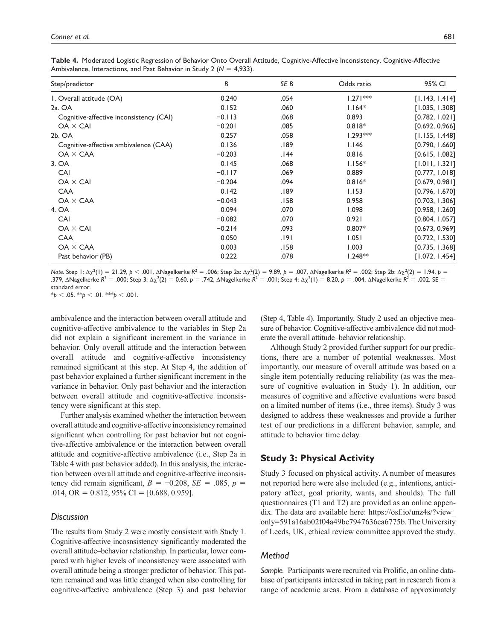**Table 4.** Moderated Logistic Regression of Behavior Onto Overall Attitude, Cognitive-Affective Inconsistency, Cognitive-Affective Ambivalence, Interactions, and Past Behavior in Study 2 ( $N = 4,933$ ).

| Step/predictor                          | B        | SE B | Odds ratio | 95% CI         |
|-----------------------------------------|----------|------|------------|----------------|
| I. Overall attitude (OA)                | 0.240    | .054 | $1.271***$ | [1.143, 1.414] |
| 2a. OA                                  | 0.152    | .060 | $1.164*$   | [1.035, 1.308] |
| Cognitive-affective inconsistency (CAI) | $-0.113$ | .068 | 0.893      | [0.782, 1.021] |
| $OA \times CA$                          | $-0.201$ | .085 | $0.818*$   | [0.692, 0.966] |
| 2b. OA                                  | 0.257    | .058 | $1.293***$ | [1.155, 1.448] |
| Cognitive-affective ambivalence (CAA)   | 0.136    | .189 | 1.146      | [0.790, 1.660] |
| $OA \times CAA$                         | $-0.203$ | 144. | 0.816      | [0.615, 1.082] |
| 3. OA                                   | 0.145    | .068 | $1.156*$   | [1.011, 1.321] |
| CAI                                     | $-0.117$ | .069 | 0.889      | [0.777, 1.018] |
| $OA \times CA$                          | $-0.204$ | .094 | $0.816*$   | [0.679, 0.981] |
| <b>CAA</b>                              | 0.142    | .189 | 1.153      | [0.796, 1.670] |
| $OA \times CAA$                         | $-0.043$ | .158 | 0.958      | [0.703, 1.306] |
| 4. OA                                   | 0.094    | .070 | 1.098      | [0.958, 1.260] |
| CAI                                     | $-0.082$ | .070 | 0.921      | [0.804, 1.057] |
| $OA \times CA$                          | $-0.214$ | .093 | $0.807*$   | [0.673, 0.969] |
| <b>CAA</b>                              | 0.050    | .191 | 1.051      | [0.722, 1.530] |
| $OA \times CAA$                         | 0.003    | .158 | 1.003      | [0.735, 1.368] |
| Past behavior (PB)                      | 0.222    | .078 | $1.248**$  | [1.072, 1.454] |

*Note.* Step 1: Δχ<sup>2</sup> (1) = 21.29, *p* < .001, ΔNagelkerke *R*<sup>2</sup> = .006; Step 2a: Δχ<sup>2</sup> (2) = 9.89, *p* = .007, ΔNagelkerke *R*<sup>2</sup> = .002; Step 2b: Δχ<sup>2</sup> (2) = 1.94, *p* = .379, ΔNagelkerke *R*<sup>2</sup> = .000; Step 3: Δχ<sup>2</sup> (2) = 0.60, *p* = .742, ΔNagelkerke *R*<sup>2</sup> = .001; Step 4: Δχ<sup>2</sup> (1) = 8.20, *p* = .004, ΔNagelkerke *R*<sup>2</sup> = .002. SE = standard error.  $*_{p}$  < .05.  $*_{p}$  < .01.  $*_{p}$  < .001.

ambivalence and the interaction between overall attitude and cognitive-affective ambivalence to the variables in Step 2a did not explain a significant increment in the variance in behavior. Only overall attitude and the interaction between overall attitude and cognitive-affective inconsistency remained significant at this step. At Step 4, the addition of past behavior explained a further significant increment in the variance in behavior. Only past behavior and the interaction between overall attitude and cognitive-affective inconsistency were significant at this step.

Further analysis examined whether the interaction between overall attitude and cognitive-affective inconsistency remained significant when controlling for past behavior but not cognitive-affective ambivalence or the interaction between overall attitude and cognitive-affective ambivalence (i.e., Step 2a in Table 4 with past behavior added). In this analysis, the interaction between overall attitude and cognitive-affective inconsistency did remain significant,  $B = -0.208$ ,  $SE = .085$ ,  $p =$ .014, OR =  $0.812$ ,  $95\%$  CI = [0.688, 0.959].

#### *Discussion*

The results from Study 2 were mostly consistent with Study 1. Cognitive-affective incosnsistency significantly moderated the overall attitude–behavior relationship. In particular, lower compared with higher levels of inconsistency were associated with overall attitude being a stronger predictor of behavior. This pattern remained and was little changed when also controlling for cognitive-affective ambivalence (Step 3) and past behavior

(Step 4, Table 4). Importantly, Study 2 used an objective measure of behavior. Cognitive-affective ambivalence did not moderate the overall attitude–behavior relationship.

Although Study 2 provided further support for our predictions, there are a number of potential weaknesses. Most importantly, our measure of overall attitude was based on a single item potentially reducing reliability (as was the measure of cognitive evaluation in Study 1). In addition, our measures of cognitive and affective evaluations were based on a limited number of items (i.e., three items). Study 3 was designed to address these weaknesses and provide a further test of our predictions in a different behavior, sample, and attitude to behavior time delay.

# **Study 3: Physical Activity**

Study 3 focused on physical activity. A number of measures not reported here were also included (e.g., intentions, anticipatory affect, goal priority, wants, and shoulds). The full questionnaires (T1 and T2) are provided as an online appendix. The data are available here: [https://osf.io/unz4s/?view\\_](https://osf.io/unz4s/?view_only=591a16ab02f04a49bc7947636ca6775b) [only=591a16ab02f04a49bc7947636ca6775b.](https://osf.io/unz4s/?view_only=591a16ab02f04a49bc7947636ca6775b) The University of Leeds, UK, ethical review committee approved the study.

### *Method*

*Sample.* Participants were recruited via Prolific, an online database of participants interested in taking part in research from a range of academic areas. From a database of approximately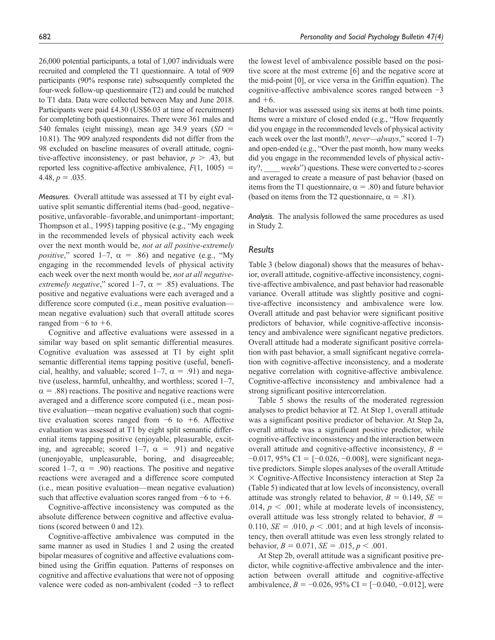26,000 potential participants, a total of 1,007 individuals were recruited and completed the T1 questionnaire. A total of 909 participants (90% response rate) subsequently completed the four-week follow-up questionnaire (T2) and could be matched to T1 data. Data were collected between May and June 2018. Participants were paid £4.30 (US\$6.03 at time of recruitment) for completing both questionnaires. There were 361 males and 540 females (eight missing), mean age 34.9 years (*SD* = 10.81). The 909 analyzed respondents did not differ from the 98 excluded on baseline measures of overall attitude, cognitive-affective inconsistency, or past behavior,  $p > .43$ , but reported less cognitive-affective ambivalence,  $F(1, 1005)$  =  $4.48, p = .035.$ 

*Measures.* Overall attitude was assessed at T1 by eight evaluative split semantic differential items (bad–good, negative– positive, unfavorable–favorable, and unimportant–important; Thompson et al., 1995) tapping positive (e.g., "My engaging in the recommended levels of physical activity each week over the next month would be, *not at all positive-extremely positive*," scored 1–7,  $\alpha$  = .86) and negative (e.g., "My engaging in the recommended levels of physical activity each week over the next month would be, *not at all negativeextremely negative*," scored 1–7,  $\alpha$  = .85) evaluations. The positive and negative evaluations were each averaged and a difference score computed (i.e., mean positive evaluation mean negative evaluation) such that overall attitude scores ranged from  $-6$  to  $+6$ .

Cognitive and affective evaluations were assessed in a similar way based on split semantic differential measures. Cognitive evaluation was assessed at T1 by eight split semantic differential items tapping positive (useful, beneficial, healthy, and valuable; scored  $1-7$ ,  $\alpha = .91$ ) and negative (useless, harmful, unhealthy, and worthless; scored 1–7,  $\alpha = .88$ ) reactions. The positive and negative reactions were averaged and a difference score computed (i.e., mean positive evaluation—mean negative evaluation) such that cognitive evaluation scores ranged from  $-6$  to  $+6$ . Affective evaluation was assessed at T1 by eight split semantic differential items tapping positive (enjoyable, pleasurable, exciting, and agreeable; scored 1–7,  $\alpha$  = .91) and negative (unenjoyable, unpleasurable, boring, and disagreeable; scored 1–7,  $\alpha$  = .90) reactions. The positive and negative reactions were averaged and a difference score computed (i.e., mean positive evaluation—mean negative evaluation) such that affective evaluation scores ranged from  $-6$  to  $+6$ .

Cognitive-affective inconsistency was computed as the absolute difference between cognitive and affective evaluations (scored between 0 and 12).

Cognitive-affective ambivalence was computed in the same manner as used in Studies 1 and 2 using the created bipolar measures of cognitive and affective evaluations combined using the Griffin equation. Patterns of responses on cognitive and affective evaluations that were not of opposing valence were coded as non-ambivalent (coded −3 to reflect

the lowest level of ambivalence possible based on the positive score at the most extreme [6] and the negative score at the mid-point [0], or vice versa in the Griffin equation). The cognitive-affective ambivalence scores ranged between −3 and  $+6$ .

Behavior was assessed using six items at both time points. Items were a mixture of closed ended (e.g., "How frequently did you engage in the recommended levels of physical activity each week over the last month?, *never—always*," scored 1–7) and open-ended (e.g., "Over the past month, how many weeks did you engage in the recommended levels of physical activity?, *\_\_\_\_ weeks*") questions. These were converted to *z*-scores and averaged to create a measure of past behavior (based on items from the T1 questionnaire,  $\alpha = .80$ ) and future behavior (based on items from the T2 questionnaire,  $\alpha = .81$ ).

*Analysis.* The analysis followed the same procedures as used in Study 2.

#### *Results*

Table 3 (below diagonal) shows that the measures of behavior, overall attitude, cognitive-affective inconsistency, cognitive-affective ambivalence, and past behavior had reasonable variance. Overall attitude was slightly positive and cognitive-affective inconsistency and ambivalence were low. Overall attitude and past behavior were significant positive predictors of behavior, while cognitive-affective inconsistency and ambivalence were significant negative predictors. Overall attitude had a moderate significant positive correlation with past behavior, a small significant negative correlation with cognitive-affective inconsistency, and a moderate negative correlation with cognitive-affective ambivalence. Cognitive-affective inconsistency and ambivalence had a strong significant positive intercorrelation.

Table 5 shows the results of the moderated regression analyses to predict behavior at T2. At Step 1, overall attitude was a significant positive predictor of behavior. At Step 2a, overall attitude was a significant positive predictor, while cognitive-affective inconsistency and the interaction between overall attitude and cognitive-affective inconsistency,  $B =$  $-0.017$ , 95% CI = [ $-0.026$ ,  $-0.008$ ], were significant negative predictors. Simple slopes analyses of the overall Attitude  $\times$  Cognitive-Affective Inconsistency interaction at Step 2a (Table 5) indicated that at low levels of inconsistency, overall attitude was strongly related to behavior,  $B = 0.149$ ,  $SE =$ .014,  $p < .001$ ; while at moderate levels of inconsistency, overall attitude was less strongly related to behavior,  $B =$ 0.110,  $SE = .010$ ,  $p < .001$ ; and at high levels of inconsistency, then overall attitude was even less strongly related to behavior,  $B = 0.071$ ,  $SE = .015$ ,  $p < .001$ .

At Step 2b, overall attitude was a significant positive predictor, while cognitive-affective ambivalence and the interaction between overall attitude and cognitive-affective ambivalence, *B* = −0.026, 95% CI = [−0.040, −0.012], were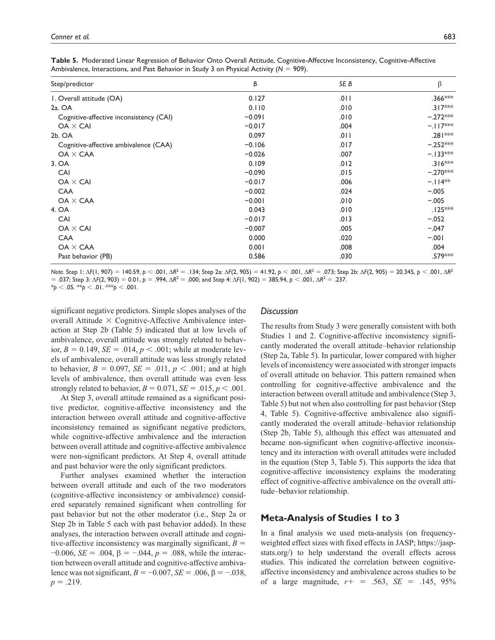**Table 5.** Moderated Linear Regression of Behavior Onto Overall Attitude, Cognitive-Affective Inconsistency, Cognitive-Affective Ambivalence, Interactions, and Past Behavior in Study 3 on Physical Activity (*N* = 909).

| Step/predictor                          | В        | SE B | β          |
|-----------------------------------------|----------|------|------------|
| I. Overall attitude (OA)                | 0.127    | .011 | .366***    |
| 2a. OA                                  | 0.110    | .010 | $.317***$  |
| Cognitive-affective inconsistency (CAI) | $-0.091$ | .010 | $-.272***$ |
| $OA \times CA$                          | $-0.017$ | .004 | $-.117***$ |
| 2b. OA                                  | 0.097    | .011 | .281 ***   |
| Cognitive-affective ambivalence (CAA)   | $-0.106$ | .017 | $-.252***$ |
| $OA \times CAA$                         | $-0.026$ | .007 | $-.133***$ |
| 3. OA                                   | 0.109    | .012 | $.316***$  |
| CAI                                     | $-0.090$ | .015 | $-.270***$ |
| $OA \times CA$                          | $-0.017$ | .006 | $-.114**$  |
| <b>CAA</b>                              | $-0.002$ | .024 | $-.005$    |
| $OA \times CAA$                         | $-0.001$ | .010 | $-.005$    |
| 4. OA                                   | 0.043    | .010 | $.125***$  |
| CAI                                     | $-0.017$ | .013 | $-.052$    |
| $OA \times CA$                          | $-0.007$ | .005 | $-.047$    |
| <b>CAA</b>                              | 0.000    | .020 | $-.001$    |
| $OA \times CAA$                         | 0.001    | .008 | .004       |
| Past behavior (PB)                      | 0.586    | .030 | .579***    |

*Note.* Step 1: Δ*F*(1, 907) = 140.59, *p* < .001, Δ*R*<sup>2</sup> = .134; Step 2a: Δ*F*(2, 905) = 41.92, *p* < .001, Δ*R*<sup>2</sup> = .073; Step 2b: Δ*F*(2, 905) = 20.345, *p* < .001, Δ*R*<sup>2</sup> = .037; Step 3: Δ*F*(2, 903) = 0.01, *p* = .994, Δ*R*<sup>2</sup> = .000; and Step 4: Δ*F*(1, 902) = 385.94, *p* < .001, Δ*R*<sup>2</sup> = .237. \**p* < .05. \*\**p* < .01. \*\*\**p* < .001.

significant negative predictors. Simple slopes analyses of the overall Attitude  $\times$  Cognitive-Affective Ambivalence interaction at Step 2b (Table 5) indicated that at low levels of ambivalence, overall attitude was strongly related to behavior,  $B = 0.149$ ,  $SE = .014$ ,  $p < .001$ ; while at moderate levels of ambivalence, overall attitude was less strongly related to behavior,  $B = 0.097$ ,  $SE = .011$ ,  $p < .001$ ; and at high levels of ambivalence, then overall attitude was even less strongly related to behavior,  $B = 0.071$ ,  $SE = .015$ ,  $p < .001$ .

At Step 3, overall attitude remained as a significant positive predictor, cognitive-affective inconsistency and the interaction between overall attitude and cognitive-affective inconsistency remained as significant negative predictors, while cognitive-affective ambivalence and the interaction between overall attitude and cognitive-affective ambivalence were non-significant predictors. At Step 4, overall attitude and past behavior were the only significant predictors.

Further analyses examined whether the interaction between overall attitude and each of the two moderators (cognitive-affective inconsistency or ambivalence) considered separately remained significant when controlling for past behavior but not the other moderator (i.e., Step 2a or Step 2b in Table 5 each with past behavior added). In these analyses, the interaction between overall attitude and cognitive-affective inconsistency was marginally significant,  $B =$ −0.006,  $SE = .004$ ,  $\beta = -.044$ ,  $p = .088$ , while the interaction between overall attitude and cognitive-affective ambivalence was not significant,  $B = -0.007$ ,  $SE = .006$ ,  $\beta = -.038$ ,  $p = .219$ .

#### *Discussion*

The results from Study 3 were generally consistent with both Studies 1 and 2. Cognitive-affective inconsistency significantly moderated the overall attitude–behavior relationship (Step 2a, Table 5). In particular, lower compared with higher levels of inconsistency were associated with stronger impacts of overall attitude on behavior. This pattern remained when controlling for cognitive-affective ambivalence and the interaction between overall attitude and ambivalence (Step 3, Table 5) but not when also controlling for past behavior (Step 4, Table 5). Cognitive-affective ambivalence also significantly moderated the overall attitude–behavior relationship (Step 2b, Table 5), although this effect was attenuated and became non-significant when cognitive-affective inconsistency and its interaction with overall attitudes were included in the equation (Step 3, Table 5). This supports the idea that cognitive-affective inconsistency explains the moderating effect of cognitive-affective ambivalence on the overall attitude–behavior relationship.

## **Meta-Analysis of Studies 1 to 3**

In a final analysis we used meta-analysis (on frequencyweighted effect sizes with fixed effects in JASP; [https://jasp](https://jasp-stats.org/)[stats.org/\)](https://jasp-stats.org/) to help understand the overall effects across studies. This indicated the correlation between cognitiveaffective inconsistency and ambivalence across studies to be of a large magnitude,  $r+ = .563$ ,  $SE = .145$ ,  $95\%$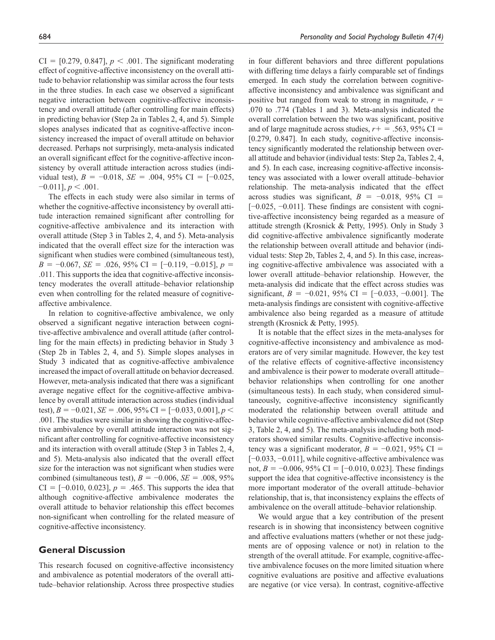$CI = [0.279, 0.847], p < .001$ . The significant moderating effect of cognitive-affective inconsistency on the overall attitude to behavior relationship was similar across the four tests in the three studies. In each case we observed a significant negative interaction between cognitive-affective inconsistency and overall attitude (after controlling for main effects) in predicting behavior (Step 2a in Tables 2, 4, and 5). Simple slopes analyses indicated that as cognitive-affective inconsistency increased the impact of overall attitude on behavior decreased. Perhaps not surprisingly, meta-analysis indicated an overall significant effect for the cognitive-affective inconsistency by overall attitude interaction across studies (individual test),  $B = -0.018$ ,  $SE = .004$ ,  $95\%$  CI = [-0.025, −0.011], *p* < .001.

The effects in each study were also similar in terms of whether the cognitive-affective inconsistency by overall attitude interaction remained significant after controlling for cognitive-affective ambivalence and its interaction with overall attitude (Step 3 in Tables 2, 4, and 5). Meta-analysis indicated that the overall effect size for the interaction was significant when studies were combined (simultaneous test), *B* = −0.067, *SE* = .026, 95% CI = [−0.119, −0.015], *p* = .011. This supports the idea that cognitive-affective inconsistency moderates the overall attitude–behavior relationship even when controlling for the related measure of cognitiveaffective ambivalence.

In relation to cognitive-affective ambivalence, we only observed a significant negative interaction between cognitive-affective ambivalence and overall attitude (after controlling for the main effects) in predicting behavior in Study 3 (Step 2b in Tables 2, 4, and 5). Simple slopes analyses in Study 3 indicated that as cognitive-affective ambivalence increased the impact of overall attitude on behavior decreased. However, meta-analysis indicated that there was a significant average negative effect for the cognitive-affective ambivalence by overall attitude interaction across studies (individual test),  $B = -0.021$ ,  $SE = .006$ ,  $95\%$  CI = [-0.033, 0.001],  $p <$ .001. The studies were similar in showing the cognitive-affective ambivalence by overall attitude interaction was not significant after controlling for cognitive-affective inconsistency and its interaction with overall attitude (Step 3 in Tables 2, 4, and 5). Meta-analysis also indicated that the overall effect size for the interaction was not significant when studies were combined (simultaneous test),  $B = -0.006$ ,  $SE = .008$ , 95% CI =  $[-0.010, 0.023]$ ,  $p = .465$ . This supports the idea that although cognitive-affective ambivalence moderates the overall attitude to behavior relationship this effect becomes non-significant when controlling for the related measure of cognitive-affective inconsistency.

#### **General Discussion**

This research focused on cognitive-affective inconsistency and ambivalence as potential moderators of the overall attitude–behavior relationship. Across three prospective studies

in four different behaviors and three different populations with differing time delays a fairly comparable set of findings emerged. In each study the correlation between cognitiveaffective inconsistency and ambivalence was significant and positive but ranged from weak to strong in magnitude,  $r =$ .070 to .774 (Tables 1 and 3). Meta-analysis indicated the overall correlation between the two was significant, positive and of large magnitude across studies,  $r+ = .563, 95\%$  CI = [0.279, 0.847]. In each study, cognitive-affective inconsistency significantly moderated the relationship between overall attitude and behavior (individual tests: Step 2a, Tables 2, 4, and 5). In each case, increasing cognitive-affective inconsistency was associated with a lower overall attitude–behavior relationship. The meta-analysis indicated that the effect across studies was significant,  $B = -0.018$ , 95% CI = [−0.025, −0.011]. These findings are consistent with cognitive-affective inconsistency being regarded as a measure of attitude strength (Krosnick & Petty, 1995). Only in Study 3 did cognitive-affective ambivalence significantly moderate the relationship between overall attitude and behavior (individual tests: Step 2b, Tables 2, 4, and 5). In this case, increasing cognitive-affective ambivalence was associated with a lower overall attitude–behavior relationship. However, the meta-analysis did indicate that the effect across studies was significant,  $B = -0.021$ , 95% CI = [-0.033, -0.001]. The meta-analysis findings are consistent with cognitive-affective ambivalence also being regarded as a measure of attitude strength (Krosnick & Petty, 1995).

It is notable that the effect sizes in the meta-analyses for cognitive-affective inconsistency and ambivalence as moderators are of very similar magnitude. However, the key test of the relative effects of cognitive-affective inconsistency and ambivalence is their power to moderate overall attitude– behavior relationships when controlling for one another (simultaneous tests). In each study, when considered simultaneously, cognitive-affective inconsistency significantly moderated the relationship between overall attitude and behavior while cognitive-affective ambivalence did not (Step 3, Table 2, 4, and 5). The meta-analysis including both moderators showed similar results. Cognitive-affective inconsistency was a significant moderator,  $B = -0.021,95\%$  CI = [−0.033, −0.011], while cognitive-affective ambivalence was not, *B* = −0.006, 95% CI = [−0.010, 0.023]. These findings support the idea that cognitive-affective inconsistency is the more important moderator of the overall attitude–behavior relationship, that is, that inconsistency explains the effects of ambivalence on the overall attitude–behavior relationship.

We would argue that a key contribution of the present research is in showing that inconsistency between cognitive and affective evaluations matters (whether or not these judgments are of opposing valence or not) in relation to the strength of the overall attitude. For example, cognitive-affective ambivalence focuses on the more limited situation where cognitive evaluations are positive and affective evaluations are negative (or vice versa). In contrast, cognitive-affective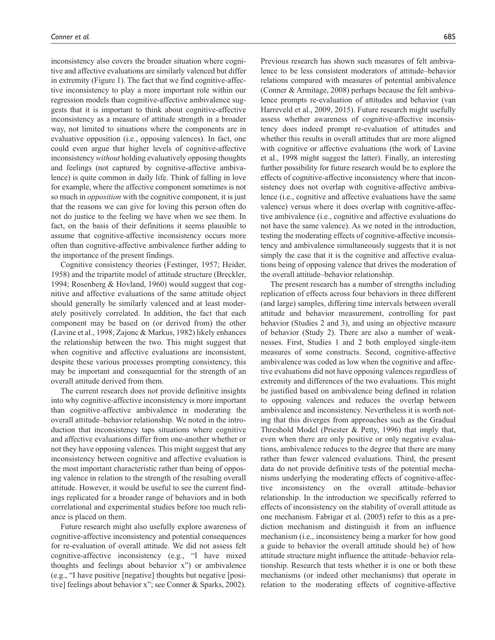inconsistency also covers the broader situation where cognitive and affective evaluations are similarly valenced but differ in extremity (Figure 1). The fact that we find cognitive-affective inconsistency to play a more important role within our regression models than cognitive-affective ambivalence suggests that it is important to think about cognitive-affective inconsistency as a measure of attitude strength in a broader way, not limited to situations where the components are in evaluative opposition (i.e., opposing valences). In fact, one could even argue that higher levels of cognitive-affective inconsistency *without* holding evaluatively opposing thoughts and feelings (not captured by cognitive-affective ambivalence) is quite common in daily life. Think of falling in love for example, where the affective component sometimes is not so much in *opposition* with the cognitive component, it is just that the reasons we can give for loving this person often do not do justice to the feeling we have when we see them. In fact, on the basis of their definitions it seems plausible to assume that cognitive-affective inconsistency occurs more often than cognitive-affective ambivalence further adding to the importance of the present findings.

Cognitive consistency theories (Festinger, 1957; Heider, 1958) and the tripartite model of attitude structure (Breckler, 1994; Rosenberg & Hovland, 1960) would suggest that cognitive and affective evaluations of the same attitude object should generally be similarly valenced and at least moderately positively correlated. In addition, the fact that each component may be based on (or derived from) the other (Lavine et al., 1998; Zajonc & Markus, 1982) likely enhances the relationship between the two. This might suggest that when cognitive and affective evaluations are inconsistent, despite these various processes prompting consistency, this may be important and consequential for the strength of an overall attitude derived from them.

The current research does not provide definitive insights into why cognitive-affective inconsistency is more important than cognitive-affective ambivalence in moderating the overall attitude–behavior relationship. We noted in the introduction that inconsistency taps situations where cognitive and affective evaluations differ from one-another whether or not they have opposing valences. This might suggest that any inconsistency between cognitive and affective evaluation is the most important characteristic rather than being of opposing valence in relation to the strength of the resulting overall attitude. However, it would be useful to see the current findings replicated for a broader range of behaviors and in both correlational and experimental studies before too much reliance is placed on them.

Future research might also usefully explore awareness of cognitive-affective inconsistency and potential consequences for re-evaluation of overall attitude. We did not assess felt cognitive-affective inconsistency (e.g., "I have mixed thoughts and feelings about behavior x") or ambivalence (e.g., "I have positive [negative] thoughts but negative [positive] feelings about behavior x"; see Conner & Sparks, 2002).

Previous research has shown such measures of felt ambivalence to be less consistent moderators of attitude–behavior relations compared with measures of potential ambivalence (Conner & Armitage, 2008) perhaps because the felt ambivalence prompts re-evaluation of attitudes and behavior (van Harreveld et al., 2009, 2015). Future research might usefully assess whether awareness of cognitive-affective inconsistency does indeed prompt re-evaluation of attitudes and whether this results in overall attitudes that are more aligned with cognitive or affective evaluations (the work of Lavine et al., 1998 might suggest the latter). Finally, an interesting further possibility for future research would be to explore the effects of cognitive-affective inconsistency where that inconsistency does not overlap with cognitive-affective ambivalence (i.e., cognitive and affective evaluations have the same valence) versus where it does overlap with cognitive-affective ambivalence (i.e., cognitive and affective evaluations do not have the same valence). As we noted in the introduction, testing the moderating effects of cognitive-affective inconsistency and ambivalence simultaneously suggests that it is not simply the case that it is the cognitive and affective evaluations being of opposing valence that drives the moderation of the overall attitude–behavior relationship.

The present research has a number of strengths including replication of effects across four behaviors in three different (and large) samples, differing time intervals between overall attitude and behavior measurement, controlling for past behavior (Studies 2 and 3), and using an objective measure of behavior (Study 2). There are also a number of weaknesses. First, Studies 1 and 2 both employed single-item measures of some constructs. Second, cognitive-affective ambivalence was coded as low when the cognitive and affective evaluations did not have opposing valences regardless of extremity and differences of the two evaluations. This might be justified based on ambivalence being defined in relation to opposing valences and reduces the overlap between ambivalence and inconsistency. Nevertheless it is worth noting that this diverges from approaches such as the Gradual Threshold Model (Priester & Petty, 1996) that imply that, even when there are only positive or only negative evaluations, ambivalence reduces to the degree that there are many rather than fewer valenced evaluations. Third, the present data do not provide definitive tests of the potential mechanisms underlying the moderating effects of cognitive-affective inconsistency on the overall attitude–behavior relationship. In the introduction we specifically referred to effects of inconsistency on the stability of overall attitude as one mechanism. Fabrigar et al. (2005) refer to this as a prediction mechanism and distinguish it from an influence mechanism (i.e., inconsistency being a marker for how good a guide to behavior the overall attitude should be) of how attitude structure might influence the attitude–behavior relationship. Research that tests whether it is one or both these mechanisms (or indeed other mechanisms) that operate in relation to the moderating effects of cognitive-affective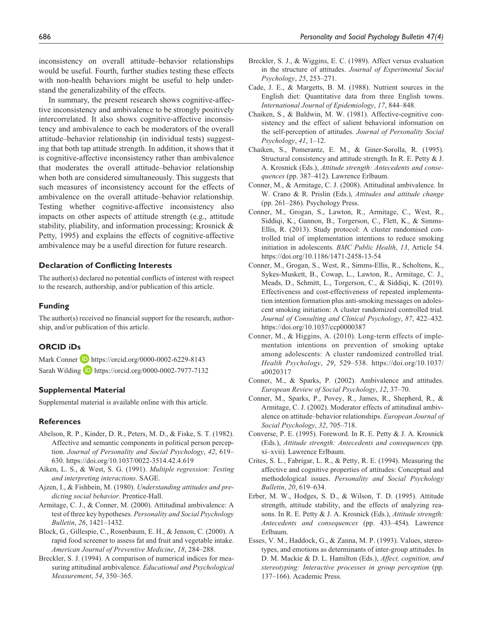inconsistency on overall attitude–behavior relationships would be useful. Fourth, further studies testing these effects with non-health behaviors might be useful to help understand the generalizability of the effects.

In summary, the present research shows cognitive-affective inconsistency and ambivalence to be strongly positively intercorrelated. It also shows cognitive-affective inconsistency and ambivalence to each be moderators of the overall attitude–behavior relationship (in individual tests) suggesting that both tap attitude strength. In addition, it shows that it is cognitive-affective inconsistency rather than ambivalence that moderates the overall attitude–behavior relationship when both are considered simultaneously. This suggests that such measures of inconsistency account for the effects of ambivalence on the overall attitude–behavior relationship. Testing whether cognitive-affective inconsistency also impacts on other aspects of attitude strength (e.g., attitude stability, pliability, and information processing; Krosnick & Petty, 1995) and explains the effects of cognitive-affective ambivalence may be a useful direction for future research.

#### **Declaration of Conflicting Interests**

The author(s) declared no potential conflicts of interest with respect to the research, authorship, and/or publication of this article.

#### **Funding**

The author(s) received no financial support for the research, authorship, and/or publication of this article.

#### **ORCID iDs**

Mark Conner **D** <https://orcid.org/0000-0002-6229-8143> Sarah Wilding **D** <https://orcid.org/0000-0002-7977-7132>

#### **Supplemental Material**

Supplemental material is available online with this article.

#### **References**

- Abelson, R. P., Kinder, D. R., Peters, M. D., & Fiske, S. T. (1982). Affective and semantic components in political person perception. *Journal of Personality and Social Psychology*, *42*, 619– 630.<https://doi.org/10.1037/0022-3514.42.4.619>
- Aiken, L. S., & West, S. G. (1991). *Multiple regression: Testing and interpreting interactions*. SAGE.
- Ajzen, I., & Fishbein, M. (1980). *Understanding attitudes and predicting social behavior*. Prentice-Hall.
- Armitage, C. J., & Conner, M. (2000). Attitudinal ambivalence: A test of three key hypotheses. *Personality and Social Psychology Bulletin*, *26*, 1421–1432.
- Block, G., Gillespie, C., Rosenbaum, E. H., & Jenson, C. (2000). A rapid food screener to assess fat and fruit and vegetable intake. *American Journal of Preventive Medicine*, *18*, 284–288.
- Breckler, S. J. (1994). A comparison of numerical indices for measuring attitudinal ambivalence. *Educational and Psychological Measurement*, *54*, 350–365.
- Breckler, S. J., & Wiggins, E. C. (1989). Affect versus evaluation in the structure of attitudes. *Journal of Experimental Social Psychology*, *25*, 253–271.
- Cade, J. E., & Margetts, B. M. (1988). Nutrient sources in the English diet: Quantitative data from three English towns. *International Journal of Epidemiology*, *17*, 844–848.
- Chaiken, S., & Baldwin, M. W. (1981). Affective-cognitive consistency and the effect of salient behavioral information on the self-perception of attitudes. *Journal of Personality Social Psychology*, *41*, 1–12.
- Chaiken, S., Pomerantz, E. M., & Giner-Sorolla, R. (1995). Structural consistency and attitude strength. In R. E. Petty & J. A. Krosnick (Eds.), *Attitude strength: Antecedents and consequences* (pp. 387–412). Lawrence Erlbaum.
- Conner, M., & Armitage, C. J. (2008). Attitudinal ambivalence. In W. Crano & R. Prislin (Eds.), *Attitudes and attitude change* (pp. 261–286). Psychology Press.
- Conner, M., Grogan, S., Lawton, R., Armitage, C., West, R., Siddiqi, K., Gannon, B., Torgerson, C., Flett, K., & Simms-Ellis, R. (2013). Study protocol: A cluster randomised controlled trial of implementation intentions to reduce smoking initiation in adolescents. *BMC Public Health*, *13*, Article 54. <https://doi.org/10.1186/1471-2458-13-54>
- Conner, M., Grogan, S., West, R., Simms-Ellis, R., Scholtens, K., Sykes-Muskett, B., Cowap, L., Lawton, R., Armitage, C. J., Meads, D., Schmitt, L., Torgerson, C., & Siddiqi, K. (2019). Effectiveness and cost-effectiveness of repeated implementation intention formation plus anti-smoking messages on adolescent smoking initiation: A cluster randomized controlled trial. *Journal of Consulting and Clinical Psychology*, *87*, 422–432. <https://doi.org/10.1037/ccp0000387>
- Conner, M., & Higgins, A. (2010). Long-term effects of implementation intentions on prevention of smoking uptake among adolescents: A cluster randomized controlled trial. *Health Psychology*, *29*, 529–538. [https://doi.org/10.1037/](https://doi.org/10.1037/a0020317) [a0020317](https://doi.org/10.1037/a0020317)
- Conner, M., & Sparks, P. (2002). Ambivalence and attitudes. *European Review of Social Psychology*, *12*, 37–70.
- Conner, M., Sparks, P., Povey, R., James, R., Shepherd, R., & Armitage, C. J. (2002). Moderator effects of attitudinal ambivalence on attitude–behavior relationships. *European Journal of Social Psychology*, *32*, 705–718.
- Converse, P. E. (1995). Foreword. In R. E. Petty & J. A. Krosnick (Eds.), *Attitude strength: Antecedents and consequences* (pp. xi–xvii). Lawrence Erlbaum.
- Crites, S. L., Fabrigar, L. R., & Petty, R. E. (1994). Measuring the affective and cognitive properties of attitudes: Conceptual and methodological issues. *Personality and Social Psychology Bulletin*, *20*, 619–634.
- Erber, M. W., Hodges, S. D., & Wilson, T. D. (1995). Attitude strength, attitude stability, and the effects of analyzing reasons. In R. E. Petty & J. A. Krosnick (Eds.), *Attitude strength: Antecedents and consequences* (pp. 433–454). Lawrence Erlbaum.
- Esses, V. M., Haddock, G., & Zanna, M. P. (1993). Values, stereotypes, and emotions as determinants of inter-group attitudes. In D. M. Mackie & D. L. Hamilton (Eds.), *Affect, cognition, and stereotyping: Interactive processes in group perception* (pp. 137–166). Academic Press.